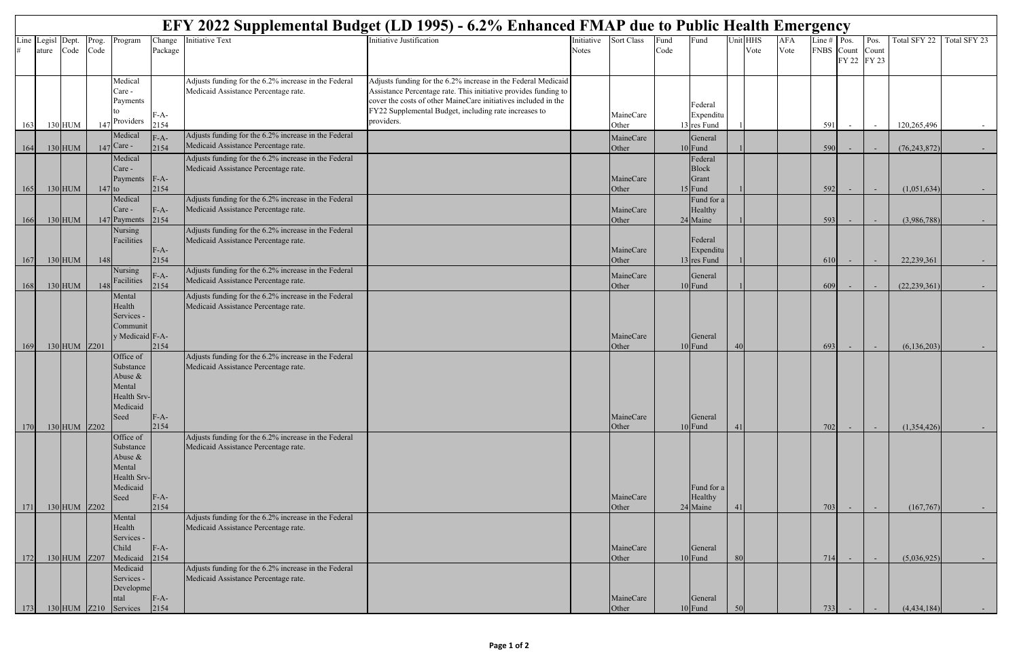|      | EFY 2022 Supplemental Budget (LD 1995) - 6.2% Enhanced FMAP due to Public Health Emergency |                |          |                       |                |                                                                                              |                                                                                                                                   |            |                    |      |                         |                |          |            |               |             |       |                |                  |
|------|--------------------------------------------------------------------------------------------|----------------|----------|-----------------------|----------------|----------------------------------------------------------------------------------------------|-----------------------------------------------------------------------------------------------------------------------------------|------------|--------------------|------|-------------------------|----------------|----------|------------|---------------|-------------|-------|----------------|------------------|
| Line | Legisl                                                                                     | Dept.          | Prog.    | Program               | Change         | nitiative Text                                                                               | Initiative Justification                                                                                                          | Initiative | Sort Class         | Fund | Fund                    |                | Unit HHS | <b>AFA</b> | Line $#$ Pos. |             | Pos.  | Total SFY 22   | Total SFY 23     |
|      | ature                                                                                      | Code           | Code     |                       | Package        |                                                                                              |                                                                                                                                   | Notes      |                    | Code |                         |                | Vote     | Vote       | FNBS Count    | FY 22 FY 23 | Count |                |                  |
|      |                                                                                            |                |          |                       |                |                                                                                              |                                                                                                                                   |            |                    |      |                         |                |          |            |               |             |       |                |                  |
|      |                                                                                            |                |          | Medical               |                | Adjusts funding for the 6.2% increase in the Federal                                         | Adjusts funding for the 6.2% increase in the Federal Medicaid                                                                     |            |                    |      |                         |                |          |            |               |             |       |                |                  |
|      |                                                                                            |                |          | Care -<br>Payments    |                | Medicaid Assistance Percentage rate.                                                         | Assistance Percentage rate. This initiative provides funding to<br>cover the costs of other MaineCare initiatives included in the |            |                    |      |                         |                |          |            |               |             |       |                |                  |
|      |                                                                                            |                |          |                       | F-A-           |                                                                                              | FY22 Supplemental Budget, including rate increases to                                                                             |            | MaineCare          |      | Federal<br>Expenditu    |                |          |            |               |             |       |                |                  |
| 163  |                                                                                            | 130 HUM        |          | Providers             | 2154           |                                                                                              | providers.                                                                                                                        |            | Other              |      | 13 res Fund             |                |          |            | 591           |             |       | 120,265,496    |                  |
|      |                                                                                            |                |          | Medical               | $F-A-$         | Adjusts funding for the 6.2% increase in the Federal                                         |                                                                                                                                   |            | MaineCare          |      | General                 |                |          |            |               |             |       |                |                  |
| 164  |                                                                                            | $130$ HUM      | 147      | Care -                | 2154           | Medicaid Assistance Percentage rate.                                                         |                                                                                                                                   |            | Other              |      | $10$ Fund               |                |          |            | 590           |             |       | (76, 243, 872) |                  |
|      |                                                                                            |                |          | Medical<br>Care -     |                | Adjusts funding for the 6.2% increase in the Federal<br>Medicaid Assistance Percentage rate. |                                                                                                                                   |            |                    |      | Federal<br><b>Block</b> |                |          |            |               |             |       |                |                  |
|      |                                                                                            |                |          | Payments              | $F-A-$         |                                                                                              |                                                                                                                                   |            | MaineCare          |      | Grant                   |                |          |            |               |             |       |                |                  |
| 165  |                                                                                            | $130$ HUM      | $147$ to |                       | 2154           |                                                                                              |                                                                                                                                   |            | Other              |      | $15$ Fund               |                |          |            | 592           |             |       | (1,051,634)    | $\sim$ 100 $\pm$ |
|      |                                                                                            |                |          | Medical<br>Care -     | $F-A-$         | Adjusts funding for the 6.2% increase in the Federal<br>Medicaid Assistance Percentage rate. |                                                                                                                                   |            | MaineCare          |      | Fund for a<br>Healthy   |                |          |            |               |             |       |                |                  |
| 166  |                                                                                            | $130$ HUM      |          | 147 Payments          | 2154           |                                                                                              |                                                                                                                                   |            | Other              |      | 24 Maine                |                |          |            | 593           |             |       | (3,986,788)    |                  |
|      |                                                                                            |                |          | Nursing               |                | Adjusts funding for the 6.2% increase in the Federal                                         |                                                                                                                                   |            |                    |      |                         |                |          |            |               |             |       |                |                  |
|      |                                                                                            |                |          | Facilities            | $F-A-$         | Medicaid Assistance Percentage rate.                                                         |                                                                                                                                   |            | MaineCare          |      | Federal<br>Expenditu    |                |          |            |               |             |       |                |                  |
| 167  |                                                                                            | $130$ HUM      | 148      |                       | 2154           |                                                                                              |                                                                                                                                   |            | Other              |      | 13 res Fund             |                |          |            | 610           |             |       | 22,239,361     |                  |
|      |                                                                                            |                |          | <b>Nursing</b>        | $F-A-$         | Adjusts funding for the 6.2% increase in the Federal                                         |                                                                                                                                   |            | MaineCare          |      | General                 |                |          |            |               |             |       |                |                  |
| 168  |                                                                                            | $130$ HUM      | 148      | Facilities            | 2154           | Medicaid Assistance Percentage rate.                                                         |                                                                                                                                   |            | Other              |      | 10 Fund                 |                |          |            | 609           |             |       | (22, 239, 361) |                  |
|      |                                                                                            |                |          | Mental                |                | Adjusts funding for the 6.2% increase in the Federal                                         |                                                                                                                                   |            |                    |      |                         |                |          |            |               |             |       |                |                  |
|      |                                                                                            |                |          | Health<br>Services -  |                | Medicaid Assistance Percentage rate.                                                         |                                                                                                                                   |            |                    |      |                         |                |          |            |               |             |       |                |                  |
|      |                                                                                            |                |          | Communit              |                |                                                                                              |                                                                                                                                   |            |                    |      |                         |                |          |            |               |             |       |                |                  |
|      |                                                                                            |                |          | y Medicaid F-A-       |                |                                                                                              |                                                                                                                                   |            | MaineCare          |      | General                 |                |          |            |               |             |       |                |                  |
| 169  |                                                                                            | $130$ HUM Z201 |          | Office of             | 2154           | Adjusts funding for the 6.2% increase in the Federal                                         |                                                                                                                                   |            | Other              |      | $10$ Fund               | 4 <sub>0</sub> |          |            | 693           |             |       | (6, 136, 203)  | $\sim$ 100 $\pm$ |
|      |                                                                                            |                |          | Substance             |                | Medicaid Assistance Percentage rate.                                                         |                                                                                                                                   |            |                    |      |                         |                |          |            |               |             |       |                |                  |
|      |                                                                                            |                |          | Abuse &               |                |                                                                                              |                                                                                                                                   |            |                    |      |                         |                |          |            |               |             |       |                |                  |
|      |                                                                                            |                |          | Mental<br>Health Srv- |                |                                                                                              |                                                                                                                                   |            |                    |      |                         |                |          |            |               |             |       |                |                  |
|      |                                                                                            |                |          | Medicaid              |                |                                                                                              |                                                                                                                                   |            |                    |      |                         |                |          |            |               |             |       |                |                  |
|      |                                                                                            |                |          | Seed                  | $F-A-$         |                                                                                              |                                                                                                                                   |            | MaineCare          |      | General                 |                |          |            |               |             |       |                |                  |
| 170  |                                                                                            | 130 HUM Z202   |          | Office of             | 2154           | Adjusts funding for the 6.2% increase in the Federal                                         |                                                                                                                                   |            | Other              |      | 10 Fund                 | 41             |          |            | 702           |             |       | (1,354,426)    |                  |
|      |                                                                                            |                |          | Substance             |                | Medicaid Assistance Percentage rate.                                                         |                                                                                                                                   |            |                    |      |                         |                |          |            |               |             |       |                |                  |
|      |                                                                                            |                |          | Abuse &               |                |                                                                                              |                                                                                                                                   |            |                    |      |                         |                |          |            |               |             |       |                |                  |
|      |                                                                                            |                |          | Mental<br>Health Srv- |                |                                                                                              |                                                                                                                                   |            |                    |      |                         |                |          |            |               |             |       |                |                  |
|      |                                                                                            |                |          | Medicaid              |                |                                                                                              |                                                                                                                                   |            |                    |      | Fund for a              |                |          |            |               |             |       |                |                  |
|      |                                                                                            |                |          | Seed                  | $F-A-$         |                                                                                              |                                                                                                                                   |            | MaineCare          |      | Healthy                 |                |          |            |               |             |       |                |                  |
| 171  |                                                                                            | $130$ HUM Z202 |          | Mental                | 2154           | Adjusts funding for the 6.2% increase in the Federal                                         |                                                                                                                                   |            | Other              |      | 24 Maine                | 41             |          |            | 703           |             |       | (167,767)      | $\sim 100$       |
|      |                                                                                            |                |          | Health                |                | Medicaid Assistance Percentage rate.                                                         |                                                                                                                                   |            |                    |      |                         |                |          |            |               |             |       |                |                  |
|      |                                                                                            |                |          | Services -            |                |                                                                                              |                                                                                                                                   |            |                    |      |                         |                |          |            |               |             |       |                |                  |
| 172  |                                                                                            | 130 HUM Z207   |          | Child<br>Medicaid     | $F-A-$<br>2154 |                                                                                              |                                                                                                                                   |            | MaineCare<br>Other |      | General<br>10 Fund      | 80             |          |            | 714           |             |       | (5,036,925)    | $\sim$ 100 $\pm$ |
|      |                                                                                            |                |          | Medicaid              |                | Adjusts funding for the 6.2% increase in the Federal                                         |                                                                                                                                   |            |                    |      |                         |                |          |            |               |             |       |                |                  |
|      |                                                                                            |                |          | Services -            |                | Medicaid Assistance Percentage rate.                                                         |                                                                                                                                   |            |                    |      |                         |                |          |            |               |             |       |                |                  |
|      |                                                                                            |                |          | Developme<br>ntal     | $F-A-$         |                                                                                              |                                                                                                                                   |            | MaineCare          |      | General                 |                |          |            |               |             |       |                |                  |
| 173  |                                                                                            |                |          | 130 HUM Z210 Services | 2154           |                                                                                              |                                                                                                                                   |            | Other              |      | $10$ Fund               | 50             |          |            | 733           |             |       | (4, 434, 184)  |                  |